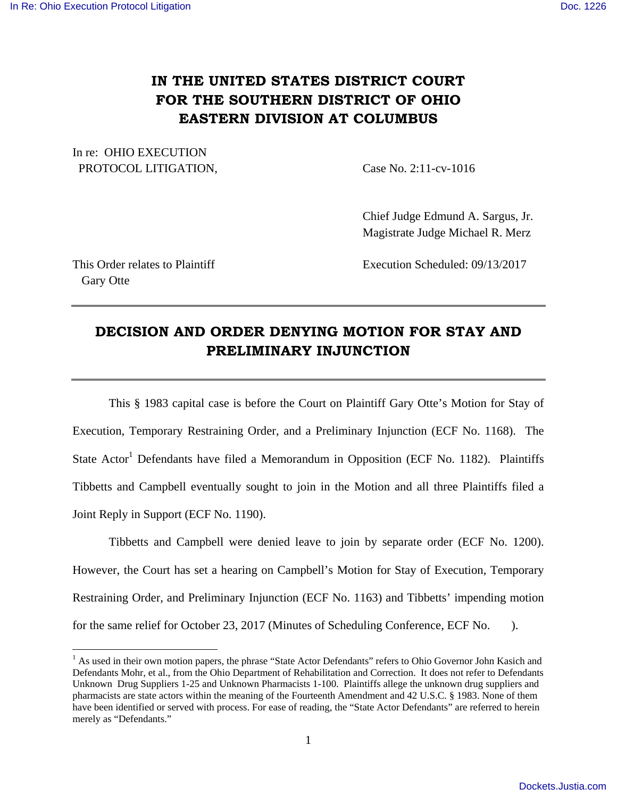# **IN THE UNITED STATES DISTRICT COURT FOR THE SOUTHERN DISTRICT OF OHIO EASTERN DIVISION AT COLUMBUS**

In re: OHIO EXECUTION PROTOCOL LITIGATION, Case No. 2:11-cv-1016

 Chief Judge Edmund A. Sargus, Jr. Magistrate Judge Michael R. Merz

Gary Otte

 $\overline{a}$ 

This Order relates to Plaintiff **Execution Scheduled: 09/13/2017** 

# **DECISION AND ORDER DENYING MOTION FOR STAY AND PRELIMINARY INJUNCTION**

 This § 1983 capital case is before the Court on Plaintiff Gary Otte's Motion for Stay of Execution, Temporary Restraining Order, and a Preliminary Injunction (ECF No. 1168). The State Actor<sup>1</sup> Defendants have filed a Memorandum in Opposition (ECF No. 1182). Plaintiffs Tibbetts and Campbell eventually sought to join in the Motion and all three Plaintiffs filed a Joint Reply in Support (ECF No. 1190).

Tibbetts and Campbell were denied leave to join by separate order (ECF No. 1200). However, the Court has set a hearing on Campbell's Motion for Stay of Execution, Temporary Restraining Order, and Preliminary Injunction (ECF No. 1163) and Tibbetts' impending motion for the same relief for October 23, 2017 (Minutes of Scheduling Conference, ECF No. ).

<sup>&</sup>lt;sup>1</sup> As used in their own motion papers, the phrase "State Actor Defendants" refers to Ohio Governor John Kasich and Defendants Mohr, et al., from the Ohio Department of Rehabilitation and Correction. It does not refer to Defendants Unknown Drug Suppliers 1-25 and Unknown Pharmacists 1-100. Plaintiffs allege the unknown drug suppliers and pharmacists are state actors within the meaning of the Fourteenth Amendment and 42 U.S.C. § 1983. None of them have been identified or served with process. For ease of reading, the "State Actor Defendants" are referred to herein merely as "Defendants."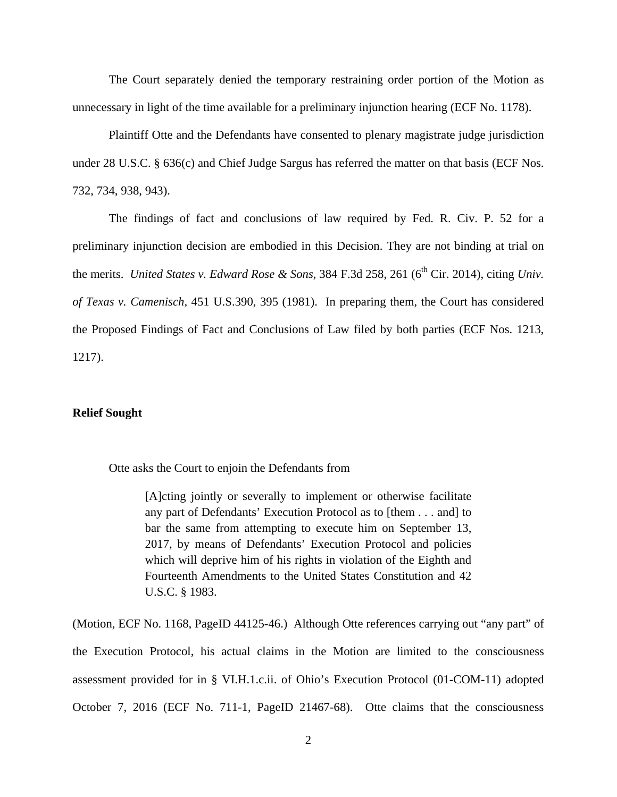The Court separately denied the temporary restraining order portion of the Motion as unnecessary in light of the time available for a preliminary injunction hearing (ECF No. 1178).

 Plaintiff Otte and the Defendants have consented to plenary magistrate judge jurisdiction under 28 U.S.C. § 636(c) and Chief Judge Sargus has referred the matter on that basis (ECF Nos. 732, 734, 938, 943).

The findings of fact and conclusions of law required by Fed. R. Civ. P. 52 for a preliminary injunction decision are embodied in this Decision. They are not binding at trial on the merits. *United States v. Edward Rose & Sons*, 384 F.3d 258, 261 (6<sup>th</sup> Cir. 2014), citing *Univ. of Texas v. Camenisch,* 451 U.S.390, 395 (1981). In preparing them, the Court has considered the Proposed Findings of Fact and Conclusions of Law filed by both parties (ECF Nos. 1213, 1217).

# **Relief Sought**

Otte asks the Court to enjoin the Defendants from

[A]cting jointly or severally to implement or otherwise facilitate any part of Defendants' Execution Protocol as to [them . . . and] to bar the same from attempting to execute him on September 13, 2017, by means of Defendants' Execution Protocol and policies which will deprive him of his rights in violation of the Eighth and Fourteenth Amendments to the United States Constitution and 42 U.S.C. § 1983.

(Motion, ECF No. 1168, PageID 44125-46.) Although Otte references carrying out "any part" of the Execution Protocol, his actual claims in the Motion are limited to the consciousness assessment provided for in § VI.H.1.c.ii. of Ohio's Execution Protocol (01-COM-11) adopted October 7, 2016 (ECF No. 711-1, PageID 21467-68). Otte claims that the consciousness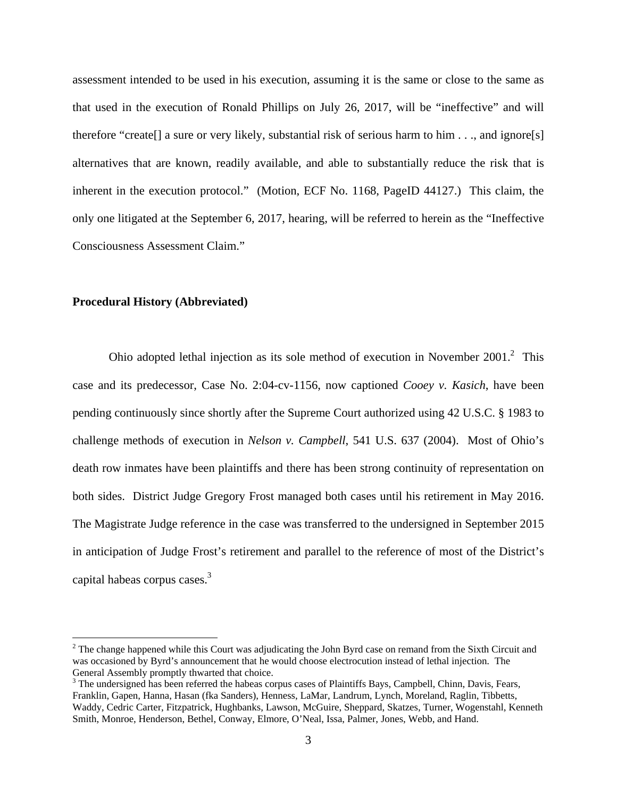assessment intended to be used in his execution, assuming it is the same or close to the same as that used in the execution of Ronald Phillips on July 26, 2017, will be "ineffective" and will therefore "create[] a sure or very likely, substantial risk of serious harm to him . . ., and ignore[s] alternatives that are known, readily available, and able to substantially reduce the risk that is inherent in the execution protocol." (Motion, ECF No. 1168, PageID 44127.) This claim, the only one litigated at the September 6, 2017, hearing, will be referred to herein as the "Ineffective Consciousness Assessment Claim."

# **Procedural History (Abbreviated)**

<u>.</u>

Ohio adopted lethal injection as its sole method of execution in November  $2001$ <sup>2</sup>. This case and its predecessor, Case No. 2:04-cv-1156, now captioned *Cooey v. Kasich*, have been pending continuously since shortly after the Supreme Court authorized using 42 U.S.C. § 1983 to challenge methods of execution in *Nelson v. Campbell*, 541 U.S. 637 (2004). Most of Ohio's death row inmates have been plaintiffs and there has been strong continuity of representation on both sides. District Judge Gregory Frost managed both cases until his retirement in May 2016. The Magistrate Judge reference in the case was transferred to the undersigned in September 2015 in anticipation of Judge Frost's retirement and parallel to the reference of most of the District's capital habeas corpus cases.<sup>3</sup>

 $2^2$  The change happened while this Court was adjudicating the John Byrd case on remand from the Sixth Circuit and was occasioned by Byrd's announcement that he would choose electrocution instead of lethal injection. The General Assembly promptly thwarted that choice.

<sup>&</sup>lt;sup>3</sup> The undersigned has been referred the habeas corpus cases of Plaintiffs Bays, Campbell, Chinn, Davis, Fears, Franklin, Gapen, Hanna, Hasan (fka Sanders), Henness, LaMar, Landrum, Lynch, Moreland, Raglin, Tibbetts, Waddy, Cedric Carter, Fitzpatrick, Hughbanks, Lawson, McGuire, Sheppard, Skatzes, Turner, Wogenstahl, Kenneth Smith, Monroe, Henderson, Bethel, Conway, Elmore, O'Neal, Issa, Palmer, Jones, Webb, and Hand.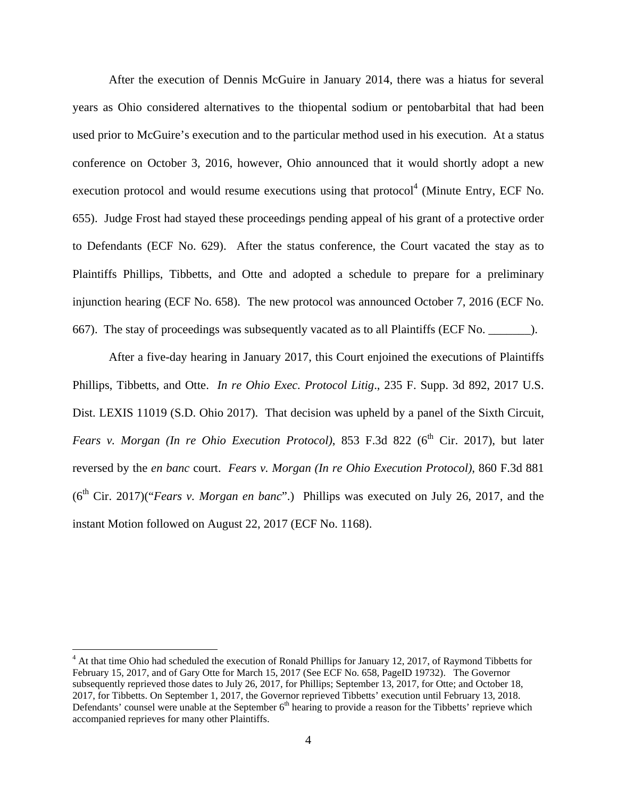After the execution of Dennis McGuire in January 2014, there was a hiatus for several years as Ohio considered alternatives to the thiopental sodium or pentobarbital that had been used prior to McGuire's execution and to the particular method used in his execution. At a status conference on October 3, 2016, however, Ohio announced that it would shortly adopt a new execution protocol and would resume executions using that protocol $<sup>4</sup>$  (Minute Entry, ECF No.</sup> 655). Judge Frost had stayed these proceedings pending appeal of his grant of a protective order to Defendants (ECF No. 629). After the status conference, the Court vacated the stay as to Plaintiffs Phillips, Tibbetts, and Otte and adopted a schedule to prepare for a preliminary injunction hearing (ECF No. 658). The new protocol was announced October 7, 2016 (ECF No. 667). The stay of proceedings was subsequently vacated as to all Plaintiffs (ECF No. \_\_\_\_\_\_\_).

 After a five-day hearing in January 2017, this Court enjoined the executions of Plaintiffs Phillips, Tibbetts, and Otte. *In re Ohio Exec. Protocol Litig*., 235 F. Supp. 3d 892, 2017 U.S. Dist. LEXIS 11019 (S.D. Ohio 2017). That decision was upheld by a panel of the Sixth Circuit, *Fears v. Morgan (In re Ohio Execution Protocol)*, 853 F.3d 822 (6<sup>th</sup> Cir. 2017), but later reversed by the *en banc* court. *Fears v. Morgan (In re Ohio Execution Protocol)*, 860 F.3d 881 (6<sup>th</sup> Cir. 2017)("*Fears v. Morgan en banc*".) Phillips was executed on July 26, 2017, and the instant Motion followed on August 22, 2017 (ECF No. 1168).

<u>.</u>

<sup>&</sup>lt;sup>4</sup> At that time Ohio had scheduled the execution of Ronald Phillips for January 12, 2017, of Raymond Tibbetts for February 15, 2017, and of Gary Otte for March 15, 2017 (See ECF No. 658, PageID 19732). The Governor subsequently reprieved those dates to July 26, 2017, for Phillips; September 13, 2017, for Otte; and October 18, 2017, for Tibbetts. On September 1, 2017, the Governor reprieved Tibbetts' execution until February 13, 2018. Defendants' counsel were unable at the September 6<sup>th</sup> hearing to provide a reason for the Tibbetts' reprieve which accompanied reprieves for many other Plaintiffs.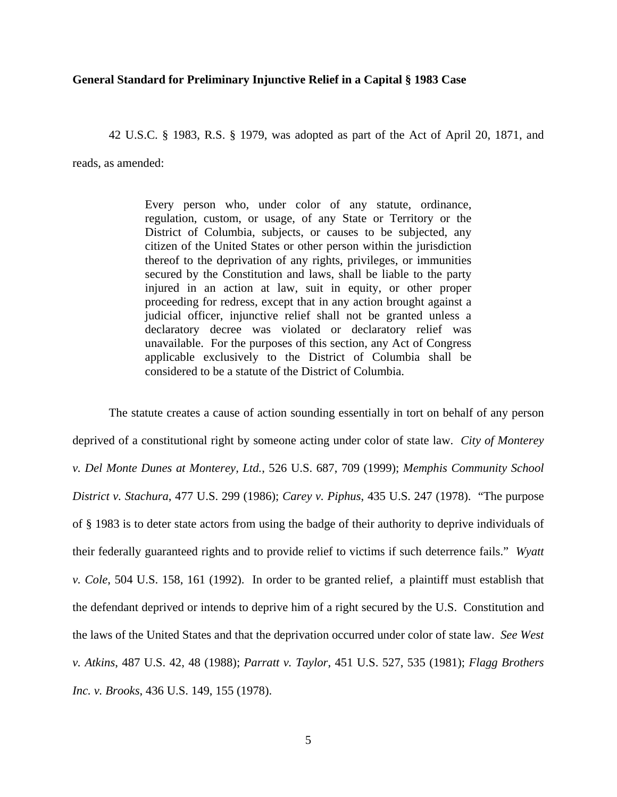### **General Standard for Preliminary Injunctive Relief in a Capital § 1983 Case**

42 U.S.C. § 1983, R.S. § 1979, was adopted as part of the Act of April 20, 1871, and

reads, as amended:

Every person who, under color of any statute, ordinance, regulation, custom, or usage, of any State or Territory or the District of Columbia, subjects, or causes to be subjected, any citizen of the United States or other person within the jurisdiction thereof to the deprivation of any rights, privileges, or immunities secured by the Constitution and laws, shall be liable to the party injured in an action at law, suit in equity, or other proper proceeding for redress, except that in any action brought against a judicial officer, injunctive relief shall not be granted unless a declaratory decree was violated or declaratory relief was unavailable. For the purposes of this section, any Act of Congress applicable exclusively to the District of Columbia shall be considered to be a statute of the District of Columbia.

The statute creates a cause of action sounding essentially in tort on behalf of any person deprived of a constitutional right by someone acting under color of state law. *City of Monterey v. Del Monte Dunes at Monterey, Ltd.*, 526 U.S. 687, 709 (1999); *Memphis Community School District v. Stachura*, 477 U.S. 299 (1986); *Carey v. Piphus*, 435 U.S. 247 (1978). "The purpose of § 1983 is to deter state actors from using the badge of their authority to deprive individuals of their federally guaranteed rights and to provide relief to victims if such deterrence fails." *Wyatt v. Cole*, 504 U.S. 158, 161 (1992). In order to be granted relief, a plaintiff must establish that the defendant deprived or intends to deprive him of a right secured by the U.S. Constitution and the laws of the United States and that the deprivation occurred under color of state law. *See West v. Atkins*, 487 U.S. 42, 48 (1988); *Parratt v. Taylor*, 451 U.S. 527, 535 (1981); *Flagg Brothers Inc. v. Brooks*, 436 U.S. 149, 155 (1978).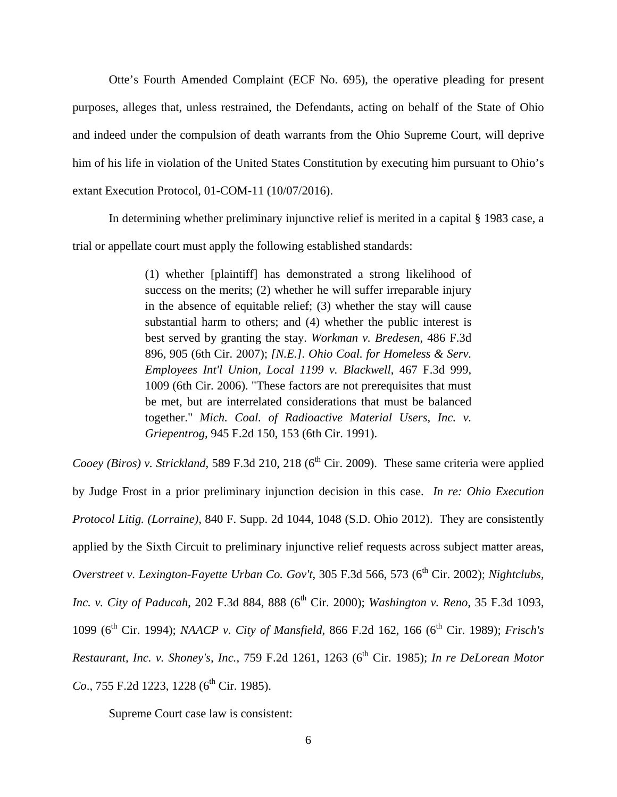Otte's Fourth Amended Complaint (ECF No. 695), the operative pleading for present purposes, alleges that, unless restrained, the Defendants, acting on behalf of the State of Ohio and indeed under the compulsion of death warrants from the Ohio Supreme Court, will deprive him of his life in violation of the United States Constitution by executing him pursuant to Ohio's extant Execution Protocol, 01-COM-11 (10/07/2016).

In determining whether preliminary injunctive relief is merited in a capital § 1983 case, a trial or appellate court must apply the following established standards:

> (1) whether [plaintiff] has demonstrated a strong likelihood of success on the merits; (2) whether he will suffer irreparable injury in the absence of equitable relief; (3) whether the stay will cause substantial harm to others; and (4) whether the public interest is best served by granting the stay. *Workman v. Bredesen*, 486 F.3d 896, 905 (6th Cir. 2007); *[N.E.]. Ohio Coal. for Homeless & Serv. Employees Int'l Union, Local 1199 v. Blackwell*, 467 F.3d 999, 1009 (6th Cir. 2006). "These factors are not prerequisites that must be met, but are interrelated considerations that must be balanced together." *Mich. Coal. of Radioactive Material Users, Inc. v. Griepentrog,* 945 F.2d 150, 153 (6th Cir. 1991).

*Cooey (Biros) v. Strickland*, 589 F.3d 210, 218 ( $6<sup>th</sup>$  Cir. 2009). These same criteria were applied by Judge Frost in a prior preliminary injunction decision in this case. *In re: Ohio Execution Protocol Litig. (Lorraine)*, 840 F. Supp. 2d 1044, 1048 (S.D. Ohio 2012). They are consistently applied by the Sixth Circuit to preliminary injunctive relief requests across subject matter areas, *Overstreet v. Lexington-Fayette Urban Co. Gov't,* 305 F.3d 566, 573 (6<sup>th</sup> Cir. 2002); *Nightclubs, Inc. v. City of Paducah, 202 F.3d 884, 888 (6<sup>th</sup> Cir. 2000); <i>Washington v. Reno, 35 F.3d 1093,* 1099 (6th Cir. 1994); *NAACP v. City of Mansfield*, 866 F.2d 162, 166 (6th Cir. 1989); *Frisch's Restaurant, Inc. v. Shoney's, Inc., 759 F.2d 1261, 1263 (6<sup>th</sup> Cir. 1985); <i>In re DeLorean Motor Co.*, 755 F.2d 1223, 1228 (6<sup>th</sup> Cir. 1985).

Supreme Court case law is consistent: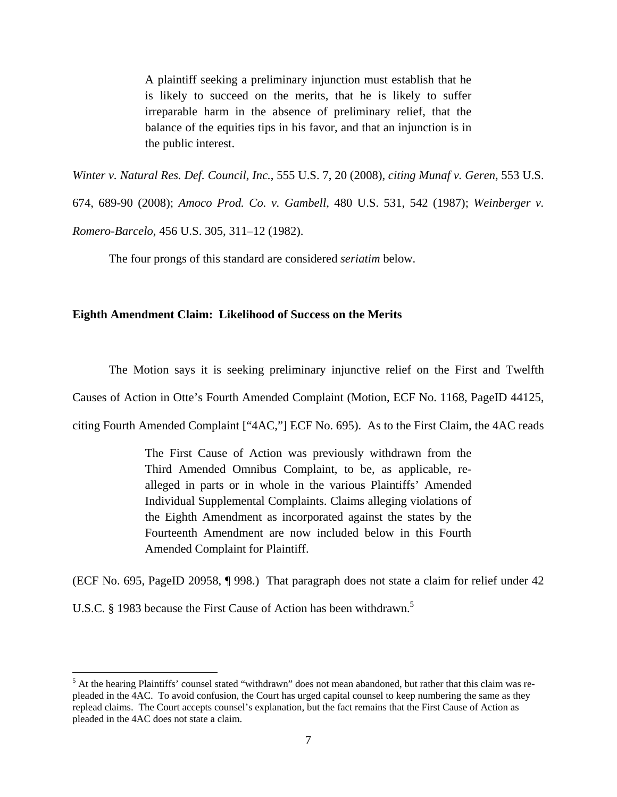A plaintiff seeking a preliminary injunction must establish that he is likely to succeed on the merits, that he is likely to suffer irreparable harm in the absence of preliminary relief, that the balance of the equities tips in his favor, and that an injunction is in the public interest.

*Winter v. Natural Res. Def. Council, Inc.*, 555 U.S. 7, 20 (2008), *citing Munaf v. Geren*, 553 U.S. 674, 689-90 (2008); *Amoco Prod. Co. v. Gambell*, 480 U.S. 531, 542 (1987); *Weinberger v. Romero-Barcelo*, 456 U.S. 305, 311–12 (1982).

The four prongs of this standard are considered *seriatim* below.

### **Eighth Amendment Claim: Likelihood of Success on the Merits**

The Motion says it is seeking preliminary injunctive relief on the First and Twelfth

Causes of Action in Otte's Fourth Amended Complaint (Motion, ECF No. 1168, PageID 44125,

citing Fourth Amended Complaint ["4AC,"] ECF No. 695). As to the First Claim, the 4AC reads

The First Cause of Action was previously withdrawn from the Third Amended Omnibus Complaint, to be, as applicable, realleged in parts or in whole in the various Plaintiffs' Amended Individual Supplemental Complaints. Claims alleging violations of the Eighth Amendment as incorporated against the states by the Fourteenth Amendment are now included below in this Fourth Amended Complaint for Plaintiff.

(ECF No. 695, PageID 20958, ¶ 998.) That paragraph does not state a claim for relief under 42

U.S.C. § 1983 because the First Cause of Action has been withdrawn.<sup>5</sup>

<sup>&</sup>lt;sup>5</sup> At the hearing Plaintiffs' counsel stated "withdrawn" does not mean abandoned, but rather that this claim was repleaded in the 4AC. To avoid confusion, the Court has urged capital counsel to keep numbering the same as they replead claims. The Court accepts counsel's explanation, but the fact remains that the First Cause of Action as pleaded in the 4AC does not state a claim.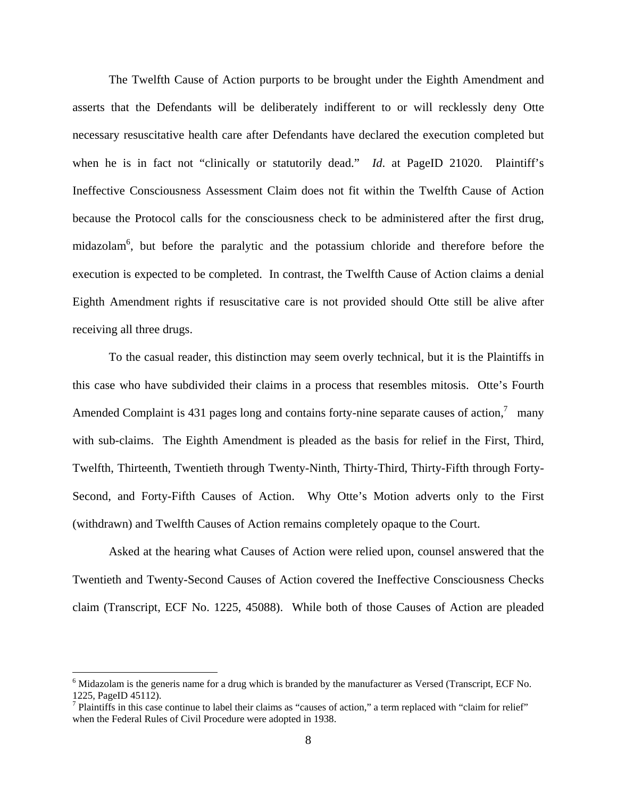The Twelfth Cause of Action purports to be brought under the Eighth Amendment and asserts that the Defendants will be deliberately indifferent to or will recklessly deny Otte necessary resuscitative health care after Defendants have declared the execution completed but when he is in fact not "clinically or statutorily dead." *Id*. at PageID 21020. Plaintiff's Ineffective Consciousness Assessment Claim does not fit within the Twelfth Cause of Action because the Protocol calls for the consciousness check to be administered after the first drug, midazolam<sup>6</sup>, but before the paralytic and the potassium chloride and therefore before the execution is expected to be completed. In contrast, the Twelfth Cause of Action claims a denial Eighth Amendment rights if resuscitative care is not provided should Otte still be alive after receiving all three drugs.

To the casual reader, this distinction may seem overly technical, but it is the Plaintiffs in this case who have subdivided their claims in a process that resembles mitosis. Otte's Fourth Amended Complaint is 431 pages long and contains forty-nine separate causes of action, $\frac{7}{1}$  many with sub-claims. The Eighth Amendment is pleaded as the basis for relief in the First, Third, Twelfth, Thirteenth, Twentieth through Twenty-Ninth, Thirty-Third, Thirty-Fifth through Forty-Second, and Forty-Fifth Causes of Action. Why Otte's Motion adverts only to the First (withdrawn) and Twelfth Causes of Action remains completely opaque to the Court.

Asked at the hearing what Causes of Action were relied upon, counsel answered that the Twentieth and Twenty-Second Causes of Action covered the Ineffective Consciousness Checks claim (Transcript, ECF No. 1225, 45088). While both of those Causes of Action are pleaded

<u>.</u>

<sup>&</sup>lt;sup>6</sup> Midazolam is the generis name for a drug which is branded by the manufacturer as Versed (Transcript, ECF No. 1225, PageID 45112).

<sup>&</sup>lt;sup>7</sup> Plaintiffs in this case continue to label their claims as "causes of action," a term replaced with "claim for relief" when the Federal Rules of Civil Procedure were adopted in 1938.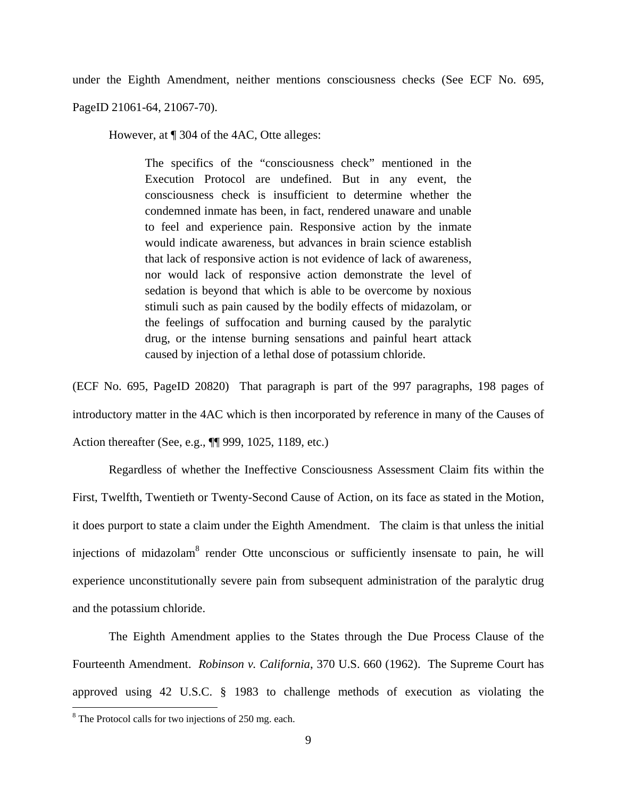under the Eighth Amendment, neither mentions consciousness checks (See ECF No. 695,

PageID 21061-64, 21067-70).

However, at ¶ 304 of the 4AC, Otte alleges:

The specifics of the "consciousness check" mentioned in the Execution Protocol are undefined. But in any event, the consciousness check is insufficient to determine whether the condemned inmate has been, in fact, rendered unaware and unable to feel and experience pain. Responsive action by the inmate would indicate awareness, but advances in brain science establish that lack of responsive action is not evidence of lack of awareness, nor would lack of responsive action demonstrate the level of sedation is beyond that which is able to be overcome by noxious stimuli such as pain caused by the bodily effects of midazolam, or the feelings of suffocation and burning caused by the paralytic drug, or the intense burning sensations and painful heart attack caused by injection of a lethal dose of potassium chloride.

(ECF No. 695, PageID 20820) That paragraph is part of the 997 paragraphs, 198 pages of introductory matter in the 4AC which is then incorporated by reference in many of the Causes of Action thereafter (See, e.g., ¶¶ 999, 1025, 1189, etc.)

 Regardless of whether the Ineffective Consciousness Assessment Claim fits within the First, Twelfth, Twentieth or Twenty-Second Cause of Action, on its face as stated in the Motion, it does purport to state a claim under the Eighth Amendment. The claim is that unless the initial injections of midazolam<sup>8</sup> render Otte unconscious or sufficiently insensate to pain, he will experience unconstitutionally severe pain from subsequent administration of the paralytic drug and the potassium chloride.

The Eighth Amendment applies to the States through the Due Process Clause of the Fourteenth Amendment. *Robinson v. California*, 370 U.S. 660 (1962). The Supreme Court has approved using 42 U.S.C. § 1983 to challenge methods of execution as violating the

<u>.</u>

<sup>&</sup>lt;sup>8</sup> The Protocol calls for two injections of 250 mg. each.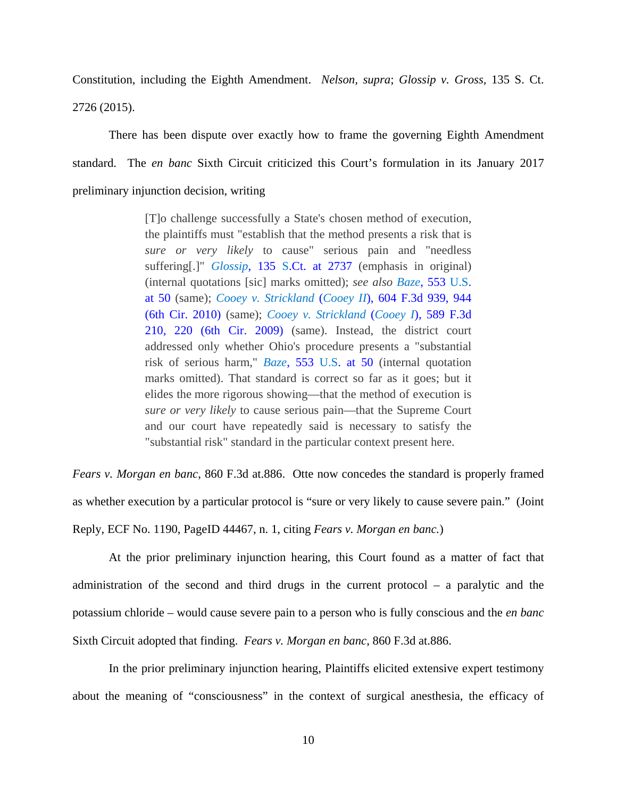Constitution, including the Eighth Amendment. *Nelson, supra*; *Glossip v. Gross,* 135 S. Ct. 2726 (2015).

There has been dispute over exactly how to frame the governing Eighth Amendment standard. The *en banc* Sixth Circuit criticized this Court's formulation in its January 2017 preliminary injunction decision, writing

> [T]o challenge successfully a State's chosen method of execution, the plaintiffs must "establish that the method presents a risk that is *sure or very likely* to cause" serious pain and "needless suffering[.]" *Glossip*, 135 S.Ct. at 2737 (emphasis in original) (internal quotations [sic] marks omitted); *see also Baze*, 553 U.S. at 50 (same); *Cooey v. Strickland* (*Cooey II*), 604 F.3d 939, 944 (6th Cir. 2010) (same); *Cooey v. Strickland* (*Cooey I*), 589 F.3d 210, 220 (6th Cir. 2009) (same). Instead, the district court addressed only whether Ohio's procedure presents a "substantial risk of serious harm," *Baze*, 553 U.S. at 50 (internal quotation marks omitted). That standard is correct so far as it goes; but it elides the more rigorous showing—that the method of execution is *sure or very likely* to cause serious pain—that the Supreme Court and our court have repeatedly said is necessary to satisfy the "substantial risk" standard in the particular context present here.

*Fears v. Morgan en banc*, 860 F.3d at.886. Otte now concedes the standard is properly framed as whether execution by a particular protocol is "sure or very likely to cause severe pain." (Joint Reply, ECF No. 1190, PageID 44467, n. 1, citing *Fears v. Morgan en banc.*)

At the prior preliminary injunction hearing, this Court found as a matter of fact that administration of the second and third drugs in the current protocol – a paralytic and the potassium chloride – would cause severe pain to a person who is fully conscious and the *en banc* Sixth Circuit adopted that finding. *Fears v. Morgan en banc*, 860 F.3d at.886.

In the prior preliminary injunction hearing, Plaintiffs elicited extensive expert testimony about the meaning of "consciousness" in the context of surgical anesthesia, the efficacy of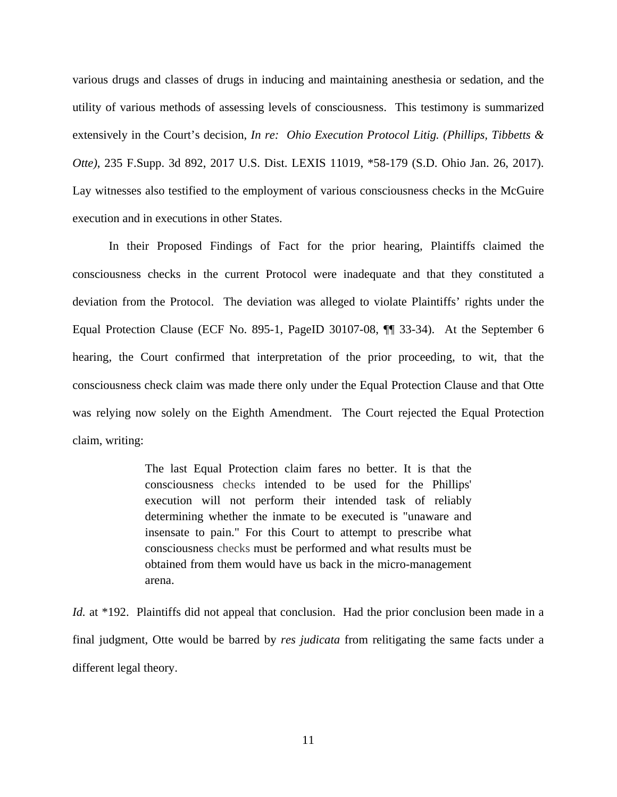various drugs and classes of drugs in inducing and maintaining anesthesia or sedation, and the utility of various methods of assessing levels of consciousness. This testimony is summarized extensively in the Court's decision, *In re: Ohio Execution Protocol Litig. (Phillips, Tibbetts & Otte)*, 235 F.Supp. 3d 892, 2017 U.S. Dist. LEXIS 11019, \*58-179 (S.D. Ohio Jan. 26, 2017). Lay witnesses also testified to the employment of various consciousness checks in the McGuire execution and in executions in other States.

In their Proposed Findings of Fact for the prior hearing, Plaintiffs claimed the consciousness checks in the current Protocol were inadequate and that they constituted a deviation from the Protocol. The deviation was alleged to violate Plaintiffs' rights under the Equal Protection Clause (ECF No. 895-1, PageID 30107-08, ¶¶ 33-34). At the September 6 hearing, the Court confirmed that interpretation of the prior proceeding, to wit, that the consciousness check claim was made there only under the Equal Protection Clause and that Otte was relying now solely on the Eighth Amendment. The Court rejected the Equal Protection claim, writing:

> The last Equal Protection claim fares no better. It is that the consciousness checks intended to be used for the Phillips' execution will not perform their intended task of reliably determining whether the inmate to be executed is "unaware and insensate to pain." For this Court to attempt to prescribe what consciousness checks must be performed and what results must be obtained from them would have us back in the micro-management arena.

*Id.* at \*192. Plaintiffs did not appeal that conclusion. Had the prior conclusion been made in a final judgment, Otte would be barred by *res judicata* from relitigating the same facts under a different legal theory.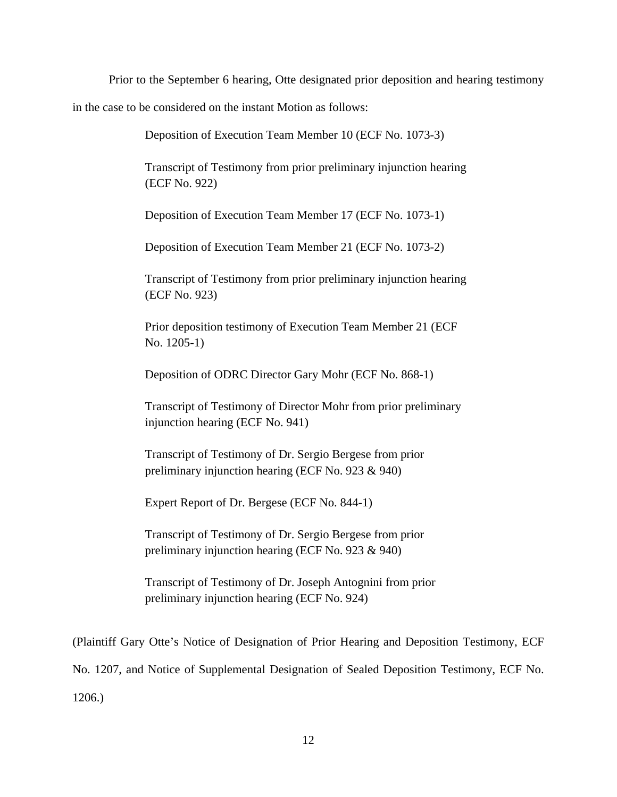Prior to the September 6 hearing, Otte designated prior deposition and hearing testimony

in the case to be considered on the instant Motion as follows:

Deposition of Execution Team Member 10 (ECF No. 1073-3)

Transcript of Testimony from prior preliminary injunction hearing (ECF No. 922)

Deposition of Execution Team Member 17 (ECF No. 1073-1)

Deposition of Execution Team Member 21 (ECF No. 1073-2)

Transcript of Testimony from prior preliminary injunction hearing (ECF No. 923)

Prior deposition testimony of Execution Team Member 21 (ECF No. 1205-1)

Deposition of ODRC Director Gary Mohr (ECF No. 868-1)

Transcript of Testimony of Director Mohr from prior preliminary injunction hearing (ECF No. 941)

Transcript of Testimony of Dr. Sergio Bergese from prior preliminary injunction hearing (ECF No. 923 & 940)

Expert Report of Dr. Bergese (ECF No. 844-1)

Transcript of Testimony of Dr. Sergio Bergese from prior preliminary injunction hearing (ECF No. 923 & 940)

Transcript of Testimony of Dr. Joseph Antognini from prior preliminary injunction hearing (ECF No. 924)

(Plaintiff Gary Otte's Notice of Designation of Prior Hearing and Deposition Testimony, ECF No. 1207, and Notice of Supplemental Designation of Sealed Deposition Testimony, ECF No. 1206.)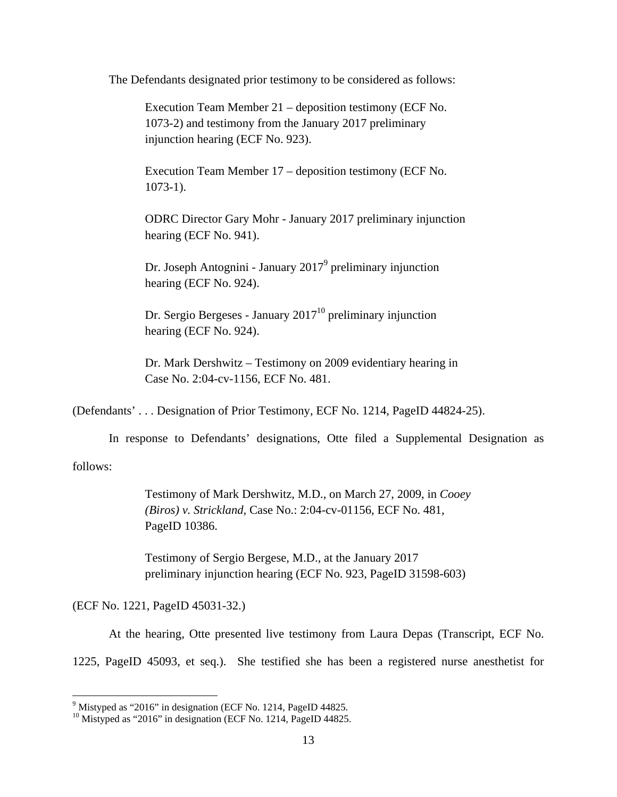The Defendants designated prior testimony to be considered as follows:

Execution Team Member 21 – deposition testimony (ECF No. 1073-2) and testimony from the January 2017 preliminary injunction hearing (ECF No. 923).

Execution Team Member 17 – deposition testimony (ECF No. 1073-1).

ODRC Director Gary Mohr - January 2017 preliminary injunction hearing (ECF No. 941).

Dr. Joseph Antognini - January 2017<sup>9</sup> preliminary injunction hearing (ECF No. 924).

Dr. Sergio Bergeses - January  $2017<sup>10</sup>$  preliminary injunction hearing (ECF No. 924).

Dr. Mark Dershwitz – Testimony on 2009 evidentiary hearing in Case No. 2:04-cv-1156, ECF No. 481.

(Defendants' . . . Designation of Prior Testimony, ECF No. 1214, PageID 44824-25).

In response to Defendants' designations, Otte filed a Supplemental Designation as

follows:

 $\overline{a}$ 

Testimony of Mark Dershwitz, M.D., on March 27, 2009, in *Cooey (Biros) v. Strickland,* Case No.: 2:04-cv-01156, ECF No. 481, PageID 10386.

Testimony of Sergio Bergese, M.D., at the January 2017 preliminary injunction hearing (ECF No. 923, PageID 31598-603)

(ECF No. 1221, PageID 45031-32.)

At the hearing, Otte presented live testimony from Laura Depas (Transcript, ECF No.

1225, PageID 45093, et seq.). She testified she has been a registered nurse anesthetist for

<sup>&</sup>lt;sup>9</sup> Mistyped as "2016" in designation (ECF No. 1214, PageID 44825.

<sup>&</sup>lt;sup>10</sup> Mistyped as "2016" in designation (ECF No. 1214, PageID 44825.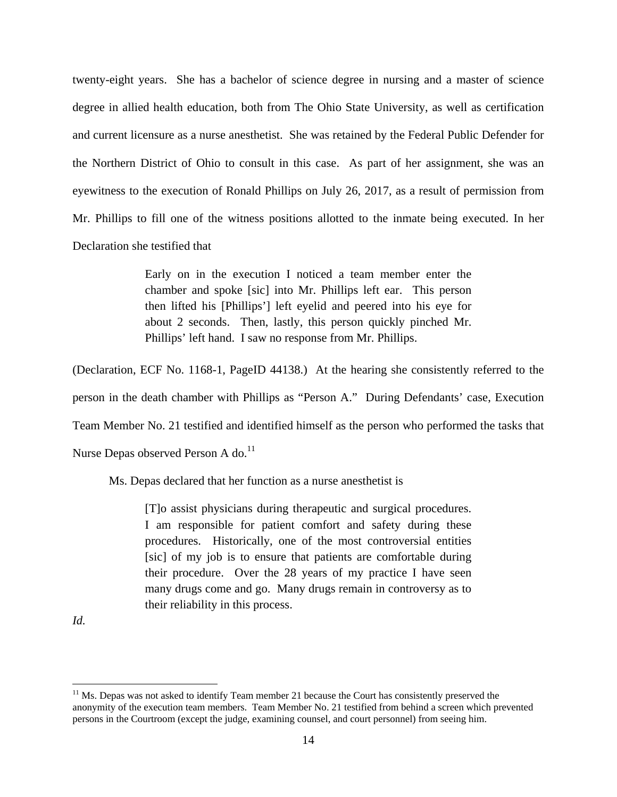twenty-eight years. She has a bachelor of science degree in nursing and a master of science degree in allied health education, both from The Ohio State University, as well as certification and current licensure as a nurse anesthetist. She was retained by the Federal Public Defender for the Northern District of Ohio to consult in this case. As part of her assignment, she was an eyewitness to the execution of Ronald Phillips on July 26, 2017, as a result of permission from Mr. Phillips to fill one of the witness positions allotted to the inmate being executed. In her Declaration she testified that

> Early on in the execution I noticed a team member enter the chamber and spoke [sic] into Mr. Phillips left ear. This person then lifted his [Phillips'] left eyelid and peered into his eye for about 2 seconds. Then, lastly, this person quickly pinched Mr. Phillips' left hand. I saw no response from Mr. Phillips.

(Declaration, ECF No. 1168-1, PageID 44138.) At the hearing she consistently referred to the person in the death chamber with Phillips as "Person A." During Defendants' case, Execution Team Member No. 21 testified and identified himself as the person who performed the tasks that Nurse Depas observed Person A do.<sup>11</sup>

Ms. Depas declared that her function as a nurse anesthetist is

[T]o assist physicians during therapeutic and surgical procedures. I am responsible for patient comfort and safety during these procedures. Historically, one of the most controversial entities [sic] of my job is to ensure that patients are comfortable during their procedure. Over the 28 years of my practice I have seen many drugs come and go. Many drugs remain in controversy as to their reliability in this process.

*Id.* 

 $\overline{a}$ 

 $11$  Ms. Depas was not asked to identify Team member 21 because the Court has consistently preserved the anonymity of the execution team members. Team Member No. 21 testified from behind a screen which prevented persons in the Courtroom (except the judge, examining counsel, and court personnel) from seeing him.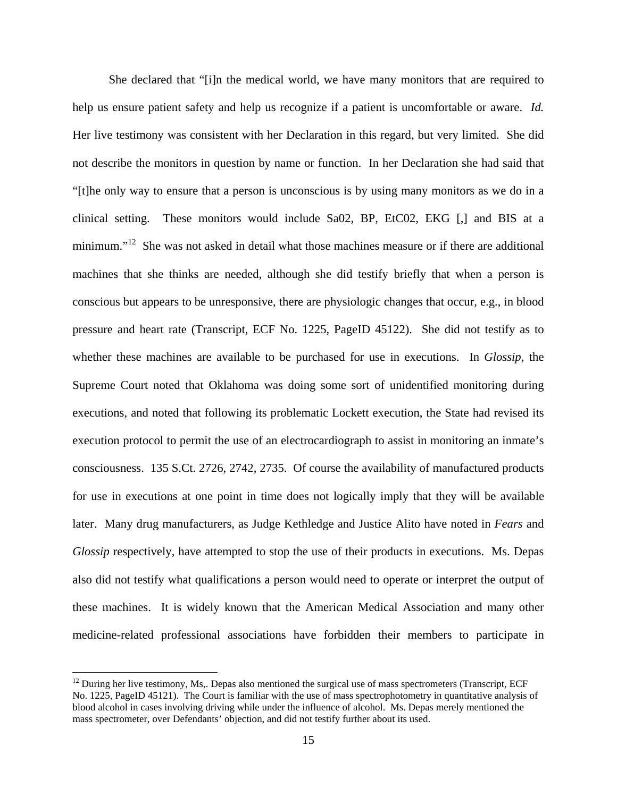She declared that "[i]n the medical world, we have many monitors that are required to help us ensure patient safety and help us recognize if a patient is uncomfortable or aware. *Id.*  Her live testimony was consistent with her Declaration in this regard, but very limited. She did not describe the monitors in question by name or function. In her Declaration she had said that "[t]he only way to ensure that a person is unconscious is by using many monitors as we do in a clinical setting. These monitors would include Sa02, BP, EtC02, EKG [,] and BIS at a minimum."<sup>12</sup> She was not asked in detail what those machines measure or if there are additional machines that she thinks are needed, although she did testify briefly that when a person is conscious but appears to be unresponsive, there are physiologic changes that occur, e.g., in blood pressure and heart rate (Transcript, ECF No. 1225, PageID 45122). She did not testify as to whether these machines are available to be purchased for use in executions. In *Glossip,* the Supreme Court noted that Oklahoma was doing some sort of unidentified monitoring during executions, and noted that following its problematic Lockett execution, the State had revised its execution protocol to permit the use of an electrocardiograph to assist in monitoring an inmate's consciousness. 135 S.Ct. 2726, 2742, 2735. Of course the availability of manufactured products for use in executions at one point in time does not logically imply that they will be available later. Many drug manufacturers, as Judge Kethledge and Justice Alito have noted in *Fears* and *Glossip* respectively, have attempted to stop the use of their products in executions. Ms. Depas also did not testify what qualifications a person would need to operate or interpret the output of these machines. It is widely known that the American Medical Association and many other medicine-related professional associations have forbidden their members to participate in

 $\overline{a}$ 

 $12$  During her live testimony, Ms,. Depas also mentioned the surgical use of mass spectrometers (Transcript, ECF) No. 1225, PageID 45121). The Court is familiar with the use of mass spectrophotometry in quantitative analysis of blood alcohol in cases involving driving while under the influence of alcohol. Ms. Depas merely mentioned the mass spectrometer, over Defendants' objection, and did not testify further about its used.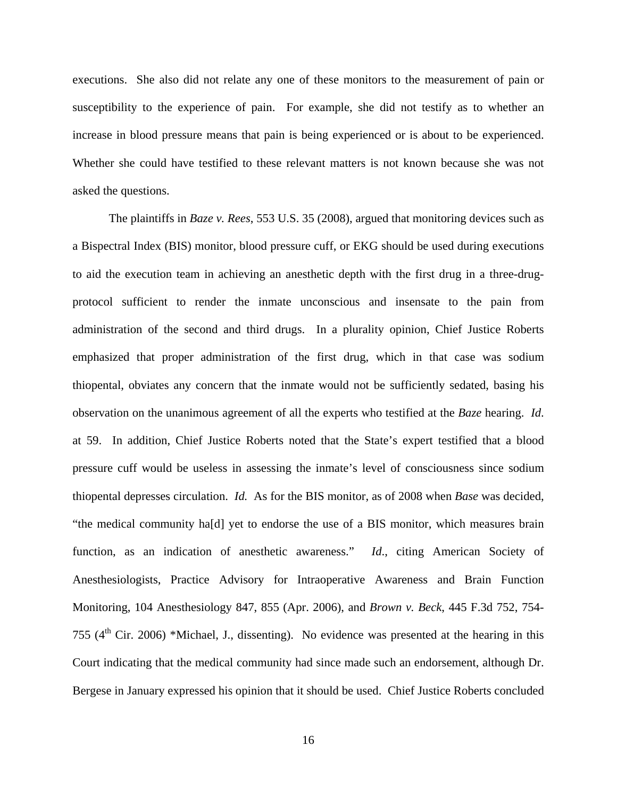executions. She also did not relate any one of these monitors to the measurement of pain or susceptibility to the experience of pain. For example, she did not testify as to whether an increase in blood pressure means that pain is being experienced or is about to be experienced. Whether she could have testified to these relevant matters is not known because she was not asked the questions.

 The plaintiffs in *Baze v. Rees*, 553 U.S. 35 (2008), argued that monitoring devices such as a Bispectral Index (BIS) monitor, blood pressure cuff, or EKG should be used during executions to aid the execution team in achieving an anesthetic depth with the first drug in a three-drugprotocol sufficient to render the inmate unconscious and insensate to the pain from administration of the second and third drugs. In a plurality opinion, Chief Justice Roberts emphasized that proper administration of the first drug, which in that case was sodium thiopental, obviates any concern that the inmate would not be sufficiently sedated, basing his observation on the unanimous agreement of all the experts who testified at the *Baze* hearing. *Id*. at 59. In addition, Chief Justice Roberts noted that the State's expert testified that a blood pressure cuff would be useless in assessing the inmate's level of consciousness since sodium thiopental depresses circulation. *Id.* As for the BIS monitor, as of 2008 when *Base* was decided, "the medical community ha[d] yet to endorse the use of a BIS monitor, which measures brain function, as an indication of anesthetic awareness." *Id*., citing American Society of Anesthesiologists, Practice Advisory for Intraoperative Awareness and Brain Function Monitoring, 104 Anesthesiology 847, 855 (Apr. 2006), and *Brown v. Beck*, 445 F.3d 752, 754- 755 ( $4<sup>th</sup>$  Cir. 2006) \*Michael, J., dissenting). No evidence was presented at the hearing in this Court indicating that the medical community had since made such an endorsement, although Dr. Bergese in January expressed his opinion that it should be used. Chief Justice Roberts concluded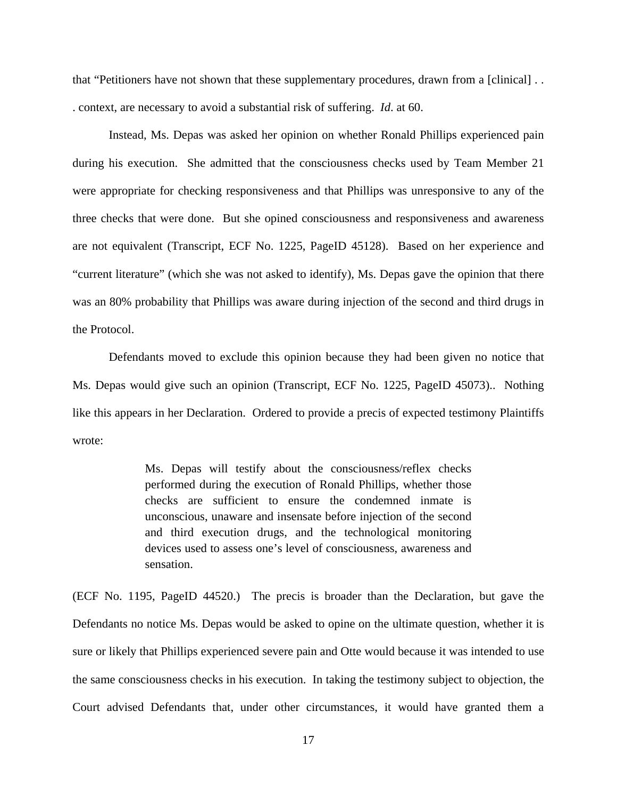that "Petitioners have not shown that these supplementary procedures, drawn from a [clinical] . . . context, are necessary to avoid a substantial risk of suffering. *Id*. at 60.

Instead, Ms. Depas was asked her opinion on whether Ronald Phillips experienced pain during his execution. She admitted that the consciousness checks used by Team Member 21 were appropriate for checking responsiveness and that Phillips was unresponsive to any of the three checks that were done. But she opined consciousness and responsiveness and awareness are not equivalent (Transcript, ECF No. 1225, PageID 45128). Based on her experience and "current literature" (which she was not asked to identify), Ms. Depas gave the opinion that there was an 80% probability that Phillips was aware during injection of the second and third drugs in the Protocol.

Defendants moved to exclude this opinion because they had been given no notice that Ms. Depas would give such an opinion (Transcript, ECF No. 1225, PageID 45073).. Nothing like this appears in her Declaration. Ordered to provide a precis of expected testimony Plaintiffs wrote:

> Ms. Depas will testify about the consciousness/reflex checks performed during the execution of Ronald Phillips, whether those checks are sufficient to ensure the condemned inmate is unconscious, unaware and insensate before injection of the second and third execution drugs, and the technological monitoring devices used to assess one's level of consciousness, awareness and sensation.

(ECF No. 1195, PageID 44520.) The precis is broader than the Declaration, but gave the Defendants no notice Ms. Depas would be asked to opine on the ultimate question, whether it is sure or likely that Phillips experienced severe pain and Otte would because it was intended to use the same consciousness checks in his execution. In taking the testimony subject to objection, the Court advised Defendants that, under other circumstances, it would have granted them a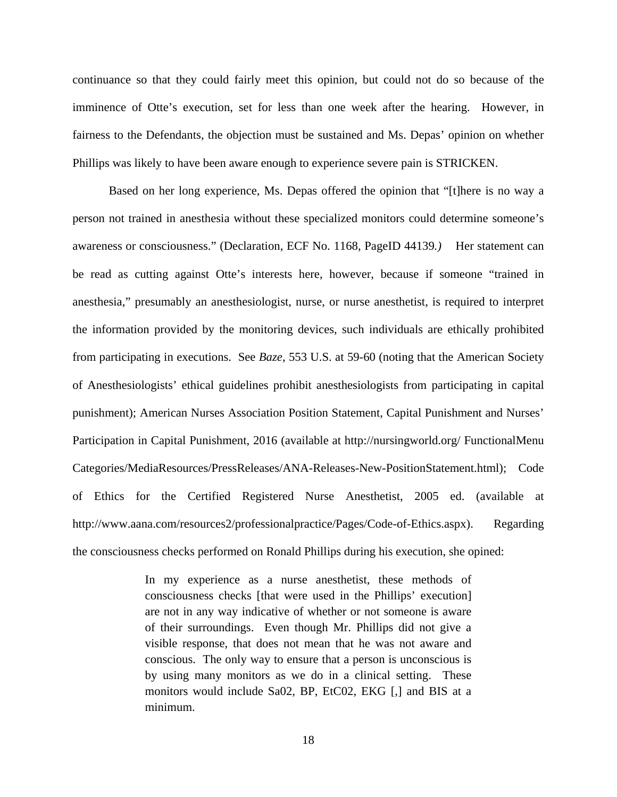continuance so that they could fairly meet this opinion, but could not do so because of the imminence of Otte's execution, set for less than one week after the hearing. However, in fairness to the Defendants, the objection must be sustained and Ms. Depas' opinion on whether Phillips was likely to have been aware enough to experience severe pain is STRICKEN.

Based on her long experience, Ms. Depas offered the opinion that "[t]here is no way a person not trained in anesthesia without these specialized monitors could determine someone's awareness or consciousness." (Declaration, ECF No. 1168, PageID 44139*.)* Her statement can be read as cutting against Otte's interests here, however, because if someone "trained in anesthesia," presumably an anesthesiologist, nurse, or nurse anesthetist, is required to interpret the information provided by the monitoring devices, such individuals are ethically prohibited from participating in executions. See *Baze*, 553 U.S. at 59-60 (noting that the American Society of Anesthesiologists' ethical guidelines prohibit anesthesiologists from participating in capital punishment); American Nurses Association Position Statement, Capital Punishment and Nurses' Participation in Capital Punishment, 2016 (available at http://nursingworld.org/ FunctionalMenu Categories/MediaResources/PressReleases/ANA-Releases-New-PositionStatement.html); Code of Ethics for the Certified Registered Nurse Anesthetist, 2005 ed. (available at http://www.aana.com/resources2/professionalpractice/Pages/Code-of-Ethics.aspx). Regarding the consciousness checks performed on Ronald Phillips during his execution, she opined:

> In my experience as a nurse anesthetist, these methods of consciousness checks [that were used in the Phillips' execution] are not in any way indicative of whether or not someone is aware of their surroundings. Even though Mr. Phillips did not give a visible response, that does not mean that he was not aware and conscious. The only way to ensure that a person is unconscious is by using many monitors as we do in a clinical setting. These monitors would include Sa02, BP, EtC02, EKG [,] and BIS at a minimum.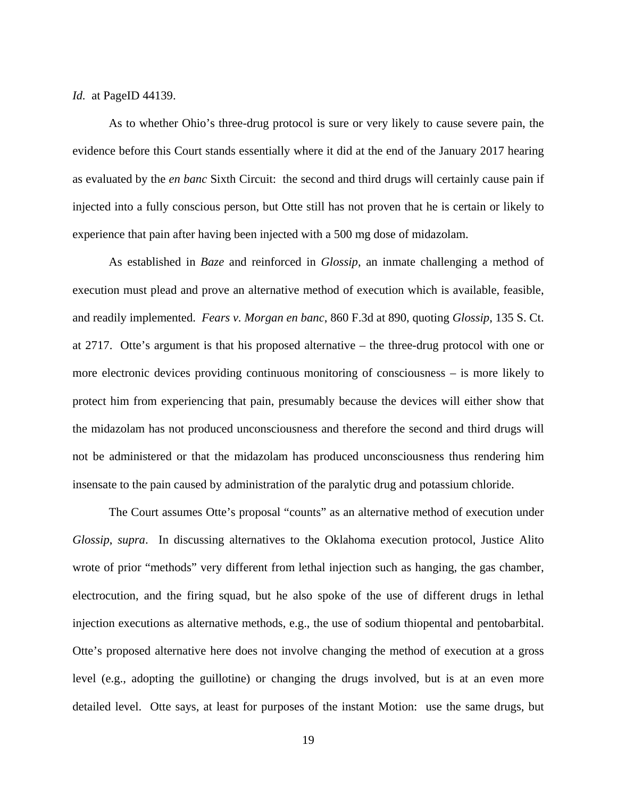*Id.* at PageID 44139.

 As to whether Ohio's three-drug protocol is sure or very likely to cause severe pain, the evidence before this Court stands essentially where it did at the end of the January 2017 hearing as evaluated by the *en banc* Sixth Circuit: the second and third drugs will certainly cause pain if injected into a fully conscious person, but Otte still has not proven that he is certain or likely to experience that pain after having been injected with a 500 mg dose of midazolam.

As established in *Baze* and reinforced in *Glossip*, an inmate challenging a method of execution must plead and prove an alternative method of execution which is available, feasible, and readily implemented. *Fears v. Morgan en banc*, 860 F.3d at 890, quoting *Glossip*, 135 S. Ct. at 2717. Otte's argument is that his proposed alternative – the three-drug protocol with one or more electronic devices providing continuous monitoring of consciousness – is more likely to protect him from experiencing that pain, presumably because the devices will either show that the midazolam has not produced unconsciousness and therefore the second and third drugs will not be administered or that the midazolam has produced unconsciousness thus rendering him insensate to the pain caused by administration of the paralytic drug and potassium chloride.

 The Court assumes Otte's proposal "counts" as an alternative method of execution under *Glossip*, *supra*. In discussing alternatives to the Oklahoma execution protocol, Justice Alito wrote of prior "methods" very different from lethal injection such as hanging, the gas chamber, electrocution, and the firing squad, but he also spoke of the use of different drugs in lethal injection executions as alternative methods, e.g., the use of sodium thiopental and pentobarbital. Otte's proposed alternative here does not involve changing the method of execution at a gross level (e.g., adopting the guillotine) or changing the drugs involved, but is at an even more detailed level. Otte says, at least for purposes of the instant Motion: use the same drugs, but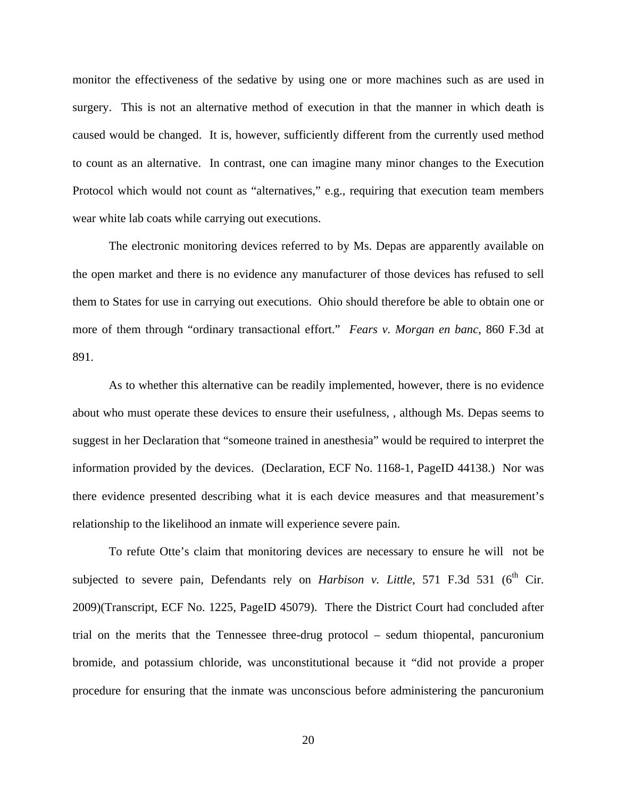monitor the effectiveness of the sedative by using one or more machines such as are used in surgery. This is not an alternative method of execution in that the manner in which death is caused would be changed. It is, however, sufficiently different from the currently used method to count as an alternative. In contrast, one can imagine many minor changes to the Execution Protocol which would not count as "alternatives," e.g., requiring that execution team members wear white lab coats while carrying out executions.

The electronic monitoring devices referred to by Ms. Depas are apparently available on the open market and there is no evidence any manufacturer of those devices has refused to sell them to States for use in carrying out executions. Ohio should therefore be able to obtain one or more of them through "ordinary transactional effort." *Fears v. Morgan en banc*, 860 F.3d at 891.

As to whether this alternative can be readily implemented, however, there is no evidence about who must operate these devices to ensure their usefulness, , although Ms. Depas seems to suggest in her Declaration that "someone trained in anesthesia" would be required to interpret the information provided by the devices. (Declaration, ECF No. 1168-1, PageID 44138.) Nor was there evidence presented describing what it is each device measures and that measurement's relationship to the likelihood an inmate will experience severe pain.

 To refute Otte's claim that monitoring devices are necessary to ensure he will not be subjected to severe pain, Defendants rely on *Harbison v. Little*, 571 F.3d 531 (6<sup>th</sup> Cir. 2009)(Transcript, ECF No. 1225, PageID 45079). There the District Court had concluded after trial on the merits that the Tennessee three-drug protocol – sedum thiopental, pancuronium bromide, and potassium chloride, was unconstitutional because it "did not provide a proper procedure for ensuring that the inmate was unconscious before administering the pancuronium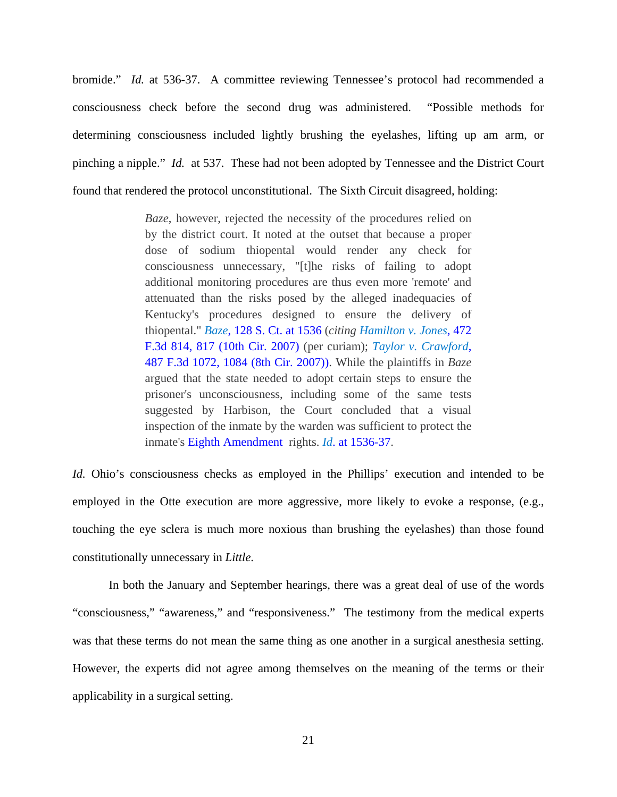bromide." *Id.* at 536-37. A committee reviewing Tennessee's protocol had recommended a consciousness check before the second drug was administered. "Possible methods for determining consciousness included lightly brushing the eyelashes, lifting up am arm, or pinching a nipple." *Id.* at 537. These had not been adopted by Tennessee and the District Court found that rendered the protocol unconstitutional. The Sixth Circuit disagreed, holding:

> *Baze*, however, rejected the necessity of the procedures relied on by the district court. It noted at the outset that because a proper dose of sodium thiopental would render any check for consciousness unnecessary, "[t]he risks of failing to adopt additional monitoring procedures are thus even more 'remote' and attenuated than the risks posed by the alleged inadequacies of Kentucky's procedures designed to ensure the delivery of thiopental." *Baze*, 128 S. Ct. at 1536 (*citing Hamilton v. Jones*, 472 F.3d 814, 817 (10th Cir. 2007) (per curiam); *Taylor v. Crawford*, 487 F.3d 1072, 1084 (8th Cir. 2007)). While the plaintiffs in *Baze* argued that the state needed to adopt certain steps to ensure the prisoner's unconsciousness, including some of the same tests suggested by Harbison, the Court concluded that a visual inspection of the inmate by the warden was sufficient to protect the inmate's Eighth Amendment rights. *Id*. at 1536-37.

*Id.* Ohio's consciousness checks as employed in the Phillips' execution and intended to be employed in the Otte execution are more aggressive, more likely to evoke a response, (e.g., touching the eye sclera is much more noxious than brushing the eyelashes) than those found constitutionally unnecessary in *Little*.

 In both the January and September hearings, there was a great deal of use of the words "consciousness," "awareness," and "responsiveness." The testimony from the medical experts was that these terms do not mean the same thing as one another in a surgical anesthesia setting. However, the experts did not agree among themselves on the meaning of the terms or their applicability in a surgical setting.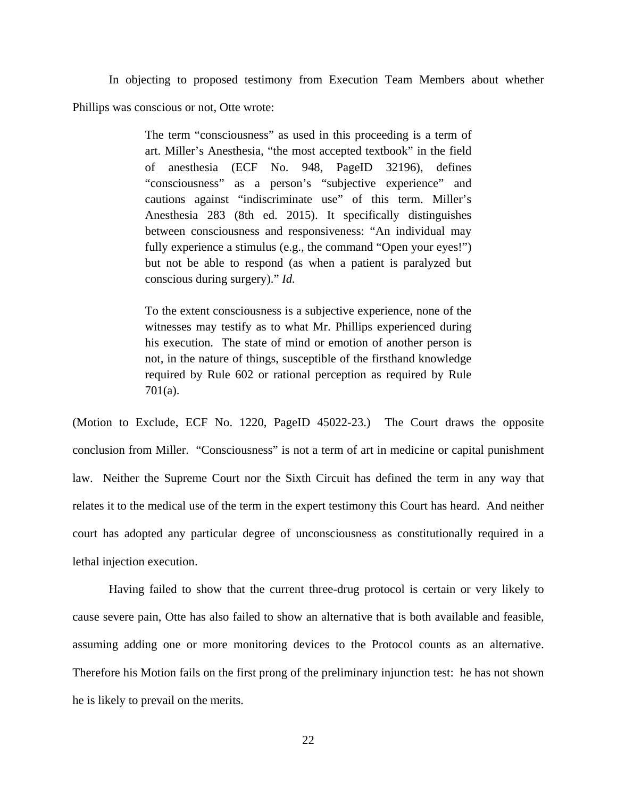In objecting to proposed testimony from Execution Team Members about whether Phillips was conscious or not, Otte wrote:

> The term "consciousness" as used in this proceeding is a term of art. Miller's Anesthesia, "the most accepted textbook" in the field of anesthesia (ECF No. 948, PageID 32196), defines "consciousness" as a person's "subjective experience" and cautions against "indiscriminate use" of this term. Miller's Anesthesia 283 (8th ed. 2015). It specifically distinguishes between consciousness and responsiveness: "An individual may fully experience a stimulus (e.g., the command "Open your eyes!") but not be able to respond (as when a patient is paralyzed but conscious during surgery)." *Id.*

> To the extent consciousness is a subjective experience, none of the witnesses may testify as to what Mr. Phillips experienced during his execution. The state of mind or emotion of another person is not, in the nature of things, susceptible of the firsthand knowledge required by Rule 602 or rational perception as required by Rule 701(a).

(Motion to Exclude, ECF No. 1220, PageID 45022-23.) The Court draws the opposite conclusion from Miller. "Consciousness" is not a term of art in medicine or capital punishment law. Neither the Supreme Court nor the Sixth Circuit has defined the term in any way that relates it to the medical use of the term in the expert testimony this Court has heard. And neither court has adopted any particular degree of unconsciousness as constitutionally required in a lethal injection execution.

 Having failed to show that the current three-drug protocol is certain or very likely to cause severe pain, Otte has also failed to show an alternative that is both available and feasible, assuming adding one or more monitoring devices to the Protocol counts as an alternative. Therefore his Motion fails on the first prong of the preliminary injunction test: he has not shown he is likely to prevail on the merits.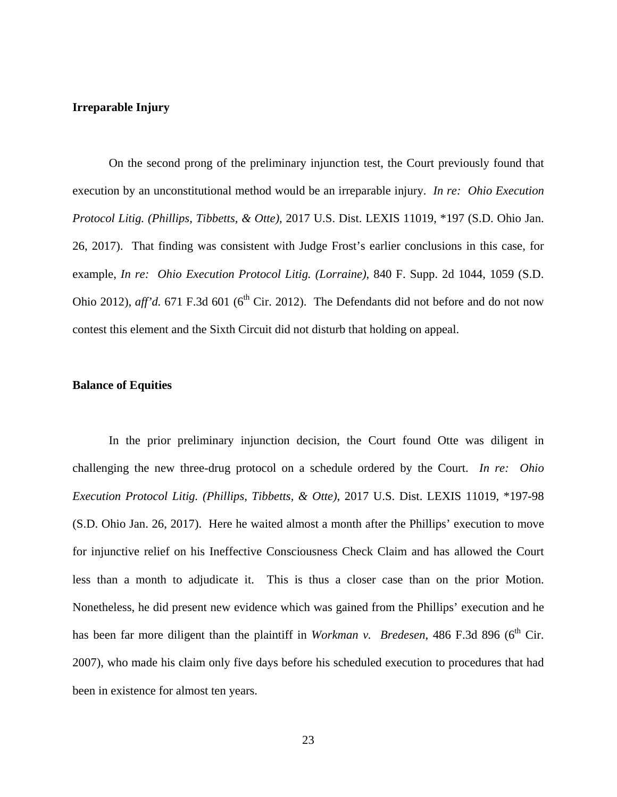## **Irreparable Injury**

 On the second prong of the preliminary injunction test, the Court previously found that execution by an unconstitutional method would be an irreparable injury. *In re: Ohio Execution Protocol Litig. (Phillips, Tibbetts, & Otte),* 2017 U.S. Dist. LEXIS 11019, \*197 (S.D. Ohio Jan. 26, 2017). That finding was consistent with Judge Frost's earlier conclusions in this case, for example, *In re: Ohio Execution Protocol Litig. (Lorraine)*, 840 F. Supp. 2d 1044, 1059 (S.D. Ohio 2012),  $aff'd. 671 F.3d 601 (6<sup>th</sup> Cir. 2012)$ . The Defendants did not before and do not now contest this element and the Sixth Circuit did not disturb that holding on appeal.

#### **Balance of Equities**

 In the prior preliminary injunction decision, the Court found Otte was diligent in challenging the new three-drug protocol on a schedule ordered by the Court. *In re: Ohio Execution Protocol Litig. (Phillips, Tibbetts, & Otte)*, 2017 U.S. Dist. LEXIS 11019, \*197-98 (S.D. Ohio Jan. 26, 2017). Here he waited almost a month after the Phillips' execution to move for injunctive relief on his Ineffective Consciousness Check Claim and has allowed the Court less than a month to adjudicate it. This is thus a closer case than on the prior Motion. Nonetheless, he did present new evidence which was gained from the Phillips' execution and he has been far more diligent than the plaintiff in *Workman v. Bredesen*, 486 F.3d 896 (6<sup>th</sup> Cir. 2007), who made his claim only five days before his scheduled execution to procedures that had been in existence for almost ten years.